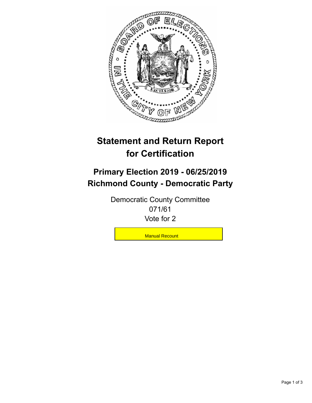

## **Statement and Return Report for Certification**

## **Primary Election 2019 - 06/25/2019 Richmond County - Democratic Party**

Democratic County Committee 071/61 Vote for 2

**Manual Recount**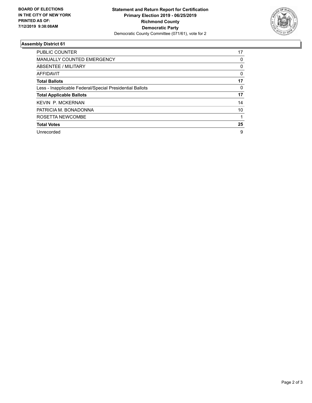

## **Assembly District 61**

| <b>PUBLIC COUNTER</b>                                    | 17 |
|----------------------------------------------------------|----|
| <b>MANUALLY COUNTED EMERGENCY</b>                        | 0  |
| ABSENTEE / MILITARY                                      | 0  |
| AFFIDAVIT                                                | 0  |
| <b>Total Ballots</b>                                     | 17 |
| Less - Inapplicable Federal/Special Presidential Ballots | 0  |
| <b>Total Applicable Ballots</b>                          | 17 |
| <b>KEVIN P. MCKERNAN</b>                                 | 14 |
| PATRICIA M. BONADONNA                                    | 10 |
| ROSETTA NEWCOMBE                                         |    |
| <b>Total Votes</b>                                       | 25 |
| Unrecorded                                               | 9  |